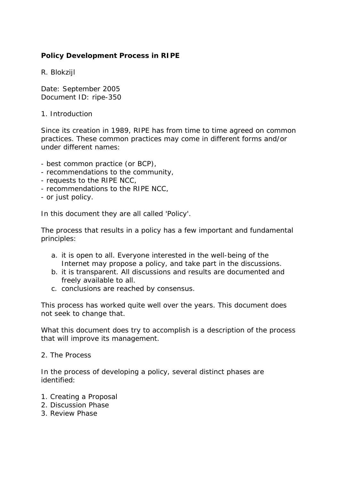## **Policy Development Process in RIPE**

R. Blokzijl

Date: September 2005 Document ID: ripe-350

1. Introduction

Since its creation in 1989, RIPE has from time to time agreed on common practices. These common practices may come in different forms and/or under different names:

- best common practice (or BCP),
- recommendations to the community,
- requests to the RIPE NCC,
- recommendations to the RIPE NCC,
- or just policy.

In this document they are all called 'Policy'.

The process that results in a policy has a few important and fundamental principles:

- a. it is open to all. Everyone interested in the well-being of the Internet may propose a policy, and take part in the discussions.
- b. it is transparent. All discussions and results are documented and freely available to all.
- c. conclusions are reached by consensus.

This process has worked quite well over the years. This document does not seek to change that.

What this document does try to accomplish is a description of the process that will improve its management.

2. The Process

In the process of developing a policy, several distinct phases are identified:

- 1. Creating a Proposal
- 2. Discussion Phase
- 3. Review Phase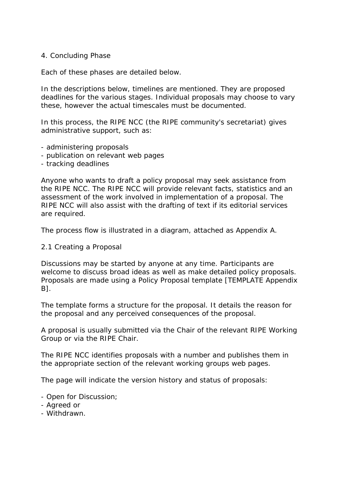#### 4. Concluding Phase

Each of these phases are detailed below.

In the descriptions below, timelines are mentioned. They are proposed deadlines for the various stages. Individual proposals may choose to vary these, however the actual timescales must be documented.

In this process, the RIPE NCC (the RIPE community's secretariat) gives administrative support, such as:

- administering proposals
- publication on relevant web pages
- tracking deadlines

Anyone who wants to draft a policy proposal may seek assistance from the RIPE NCC. The RIPE NCC will provide relevant facts, statistics and an assessment of the work involved in implementation of a proposal. The RIPE NCC will also assist with the drafting of text if its editorial services are required.

The process flow is illustrated in a diagram, attached as Appendix A.

#### 2.1 Creating a Proposal

Discussions may be started by anyone at any time. Participants are welcome to discuss broad ideas as well as make detailed policy proposals. Proposals are made using a Policy Proposal template [TEMPLATE Appendix B].

The template forms a structure for the proposal. It details the reason for the proposal and any perceived consequences of the proposal.

A proposal is usually submitted via the Chair of the relevant RIPE Working Group or via the RIPE Chair.

The RIPE NCC identifies proposals with a number and publishes them in the appropriate section of the relevant working groups web pages.

The page will indicate the version history and status of proposals:

- Open for Discussion;
- Agreed or
- Withdrawn.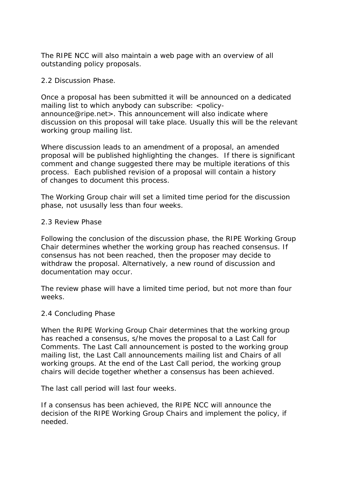The RIPE NCC will also maintain a web page with an overview of all outstanding policy proposals.

### 2.2 Discussion Phase.

Once a proposal has been submitted it will be announced on a dedicated mailing list to which anybody can subscribe: <policyannounce@ripe.net>. This announcement will also indicate where discussion on this proposal will take place. Usually this will be the relevant working group mailing list.

Where discussion leads to an amendment of a proposal, an amended proposal will be published highlighting the changes. If there is significant comment and change suggested there may be multiple iterations of this process. Each published revision of a proposal will contain a history of changes to document this process.

The Working Group chair will set a limited time period for the discussion phase, not ususally less than four weeks.

### 2.3 Review Phase

Following the conclusion of the discussion phase, the RIPE Working Group Chair determines whether the working group has reached consensus. If consensus has not been reached, then the proposer may decide to withdraw the proposal. Alternatively, a new round of discussion and documentation may occur.

The review phase will have a limited time period, but not more than four weeks.

#### 2.4 Concluding Phase

When the RIPE Working Group Chair determines that the working group has reached a consensus, s/he moves the proposal to a Last Call for Comments. The Last Call announcement is posted to the working group mailing list, the Last Call announcements mailing list and Chairs of all working groups. At the end of the Last Call period, the working group chairs will decide together whether a consensus has been achieved.

The last call period will last four weeks.

If a consensus has been achieved, the RIPE NCC will announce the decision of the RIPE Working Group Chairs and implement the policy, if needed.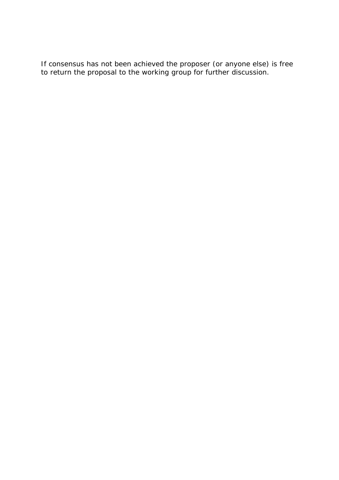If consensus has not been achieved the proposer (or anyone else) is free to return the proposal to the working group for further discussion.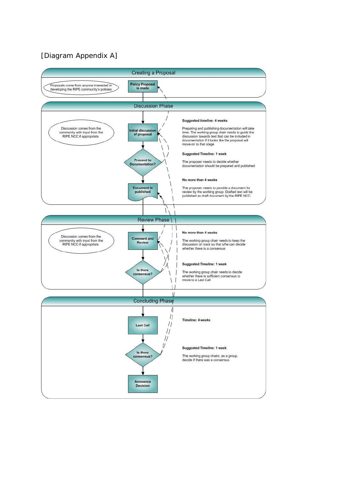# [Diagram Appendix A]